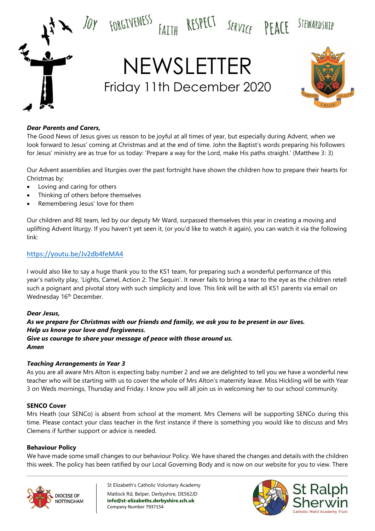

#### *Dear Parents and Carers,*

The Good News of Jesus gives us reason to be joyful at all times of year, but especially during Advent, when we look forward to Jesus' coming at Christmas and at the end of time. John the Baptist's words preparing his followers for Jesus' ministry are as true for us today: 'Prepare a way for the Lord, make His paths straight.' (Matthew 3: 3)

Our Advent assemblies and liturgies over the past fortnight have shown the children how to prepare their hearts for Christmas by:

- Loving and caring for others
- Thinking of others before themselves
- Remembering Jesus' love for them

Our children and RE team, led by our deputy Mr Ward, surpassed themselves this year in creating a moving and uplifting Advent liturgy. If you haven't yet seen it, (or you'd like to watch it again), you can watch it via the following link:

### <https://youtu.be/Jv2db4feMA4>

I would also like to say a huge thank you to the KS1 team, for preparing such a wonderful performance of this year's nativity play, 'Lights, Camel, Action 2: The Sequin'. It never fails to bring a tear to the eye as the children retell such a poignant and pivotal story with such simplicity and love. This link will be with all KS1 parents via email on Wednesday 16<sup>th</sup> December.

#### *Dear Jesus,*

*As we prepare for Christmas with our friends and family, we ask you to be present in our lives. Help us know your love and forgiveness. Give us courage to share your message of peace with those around us. Amen*

#### *Teaching Arrangements in Year 3*

As you are all aware Mrs Alton is expecting baby number 2 and we are delighted to tell you we have a wonderful new teacher who will be starting with us to cover the whole of Mrs Alton's maternity leave. Miss Hickling will be with Year 3 on Weds mornings, Thursday and Friday. I know you will all join us in welcoming her to our school community.

#### **SENCO Cover**

Mrs Heath (our SENCo) is absent from school at the moment. Mrs Clemens will be supporting SENCo during this time. Please contact your class teacher in the first instance if there is something you would like to discuss and Mrs Clemens if further support or advice is needed.

#### **Behaviour Policy**

We have made some small changes to our behaviour Policy. We have shared the changes and details with the children this week. The policy has been ratified by our Local Governing Body and is now on our website for you to view. There



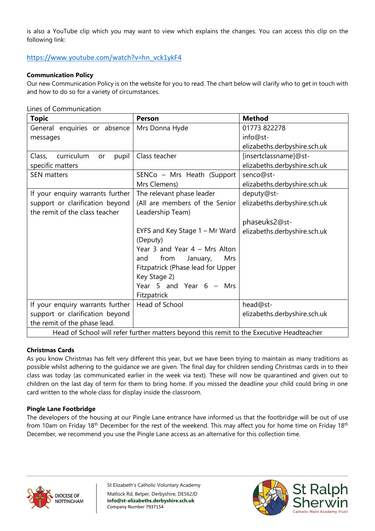is also a YouTube clip which you may want to view which explains the changes. You can access this clip on the following link:

## [https://www.youtube.com/watch?v=hn\\_vck1ykF4](https://www.youtube.com/watch?v=hn_vck1ykF4)

### **Communication Policy**

Our new Communication Policy is on the website for you to read. The chart below will clarify who to get in touch with and how to do so for a variety of circumstances.

Lines of Communication

| <b>Topic</b>                                                                             | Person                            | <b>Method</b>                |  |
|------------------------------------------------------------------------------------------|-----------------------------------|------------------------------|--|
| General enquiries or absence                                                             | Mrs Donna Hyde                    | 01773 822278                 |  |
| messages                                                                                 |                                   | info@st-                     |  |
|                                                                                          |                                   | elizabeths.derbyshire.sch.uk |  |
| curriculum<br>Class,<br>pupil<br>or                                                      | Class teacher                     | [insertclassname]@st-        |  |
| specific matters                                                                         |                                   | elizabeths.derbyshire.sch.uk |  |
| <b>SEN</b> matters                                                                       | SENCo - Mrs Heath (Support        | senco@st-                    |  |
|                                                                                          | Mrs Clemens)                      | elizabeths.derbyshire.sch.uk |  |
| If your enquiry warrants further                                                         | The relevant phase leader         | deputy@st-                   |  |
| support or clarification beyond                                                          | (All are members of the Senior    | elizabeths.derbyshire.sch.uk |  |
| the remit of the class teacher                                                           | Leadership Team)                  |                              |  |
|                                                                                          |                                   | phaseuks2@st-                |  |
|                                                                                          | EYFS and Key Stage 1 - Mr Ward    | elizabeths.derbyshire.sch.uk |  |
|                                                                                          | (Deputy)                          |                              |  |
|                                                                                          | Year 3 and Year 4 - Mrs Alton     |                              |  |
|                                                                                          | from<br>January,<br>Mrs<br>and    |                              |  |
|                                                                                          | Fitzpatrick (Phase lead for Upper |                              |  |
|                                                                                          | Key Stage 2)                      |                              |  |
|                                                                                          | Year 5 and Year $6 - Mrs$         |                              |  |
|                                                                                          | Fitzpatrick                       |                              |  |
| If your enquiry warrants further                                                         | Head of School                    | head@st-                     |  |
| support or clarification beyond                                                          |                                   | elizabeths.derbyshire.sch.uk |  |
| the remit of the phase lead.                                                             |                                   |                              |  |
| Head of School will refer further matters beyond this remit to the Executive Headteacher |                                   |                              |  |

#### **Christmas Cards**

As you know Christmas has felt very different this year, but we have been trying to maintain as many traditions as possible whilst adhering to the guidance we are given. The final day for children sending Christmas cards in to their class was today (as communicated earlier in the week via text). These will now be quarantined and given out to children on the last day of term for them to bring home. If you missed the deadline your child could bring in one card written to the whole class for display inside the classroom.

#### **Pingle Lane Footbridge**

The developers of the housing at our Pingle Lane entrance have informed us that the footbridge will be out of use from 10am on Friday 18<sup>th</sup> December for the rest of the weekend. This may affect you for home time on Friday 18<sup>th</sup> December, we recommend you use the Pingle Lane access as an alternative for this collection time.



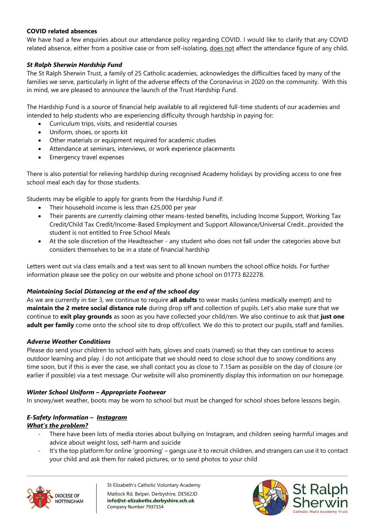### **COVID related absences**

We have had a few enquiries about our attendance policy regarding COVID. I would like to clarify that any COVID related absence, either from a positive case or from self-isolating, does not affect the attendance figure of any child.

### *St Ralph Sherwin Hardship Fund*

The St Ralph Sherwin Trust, a family of 25 Catholic academies, acknowledges the difficulties faced by many of the families we serve, particularly in light of the adverse effects of the Coronavirus in 2020 on the community. With this in mind, we are pleased to announce the launch of the Trust Hardship Fund.

The Hardship Fund is a source of financial help available to all registered full-time students of our academies and intended to help students who are experiencing difficulty through hardship in paying for:

- Curriculum trips, visits, and residential courses
- Uniform, shoes, or sports kit
- Other materials or equipment required for academic studies
- Attendance at seminars, interviews, or work experience placements
- Emergency travel expenses

There is also potential for relieving hardship during recognised Academy holidays by providing access to one free school meal each day for those students.

Students may be eligible to apply for grants from the Hardship Fund if:

- Their household income is less than £25,000 per year
- Their parents are currently claiming other means-tested benefits, including Income Support, Working Tax Credit/Child Tax Credit/Income-Based Employment and Support Allowance/Universal Credit...provided the student is not entitled to Free School Meals
- At the sole discretion of the Headteacher any student who does not fall under the categories above but considers themselves to be in a state of financial hardship

Letters went out via class emails and a text was sent to all known numbers the school office holds. For further information please see the policy on our website and phone school on 01773 822278.

### *Maintaining Social Distancing at the end of the school day*

As we are currently in tier 3, we continue to require **all adults** to wear masks (unless medically exempt) and to **maintain the 2 metre social distance rule** during drop off and collection of pupils. Let's also make sure that we continue to **exit play grounds** as soon as you have collected your child/ren. We also continue to ask that **just one adult per family** come onto the school site to drop off/collect. We do this to protect our pupils, staff and families.

### *Adverse Weather Conditions*

Please do send your children to school with hats, gloves and coats (named) so that they can continue to access outdoor learning and play. I do not anticipate that we should need to close school due to snowy conditions any time soon, but if this is ever the case, we shall contact you as close to 7.15am as possible on the day of closure (or earlier if possible) via a text message. Our website will also prominently display this information on our homepage.

### *Winter School Uniform – Appropriate Footwear*

In snowy/wet weather, boots may be worn to school but must be changed for school shoes before lessons begin.

### *E-Safety Information – Instagram What's the problem?*

- There have been lots of media stories about bullying on Instagram, and children seeing harmful images and advice about weight loss, self-harm and suicide
- It's the top platform for online 'grooming' gangs use it to recruit children, and strangers can use it to contact your child and ask them for naked pictures, or to send photos to your child



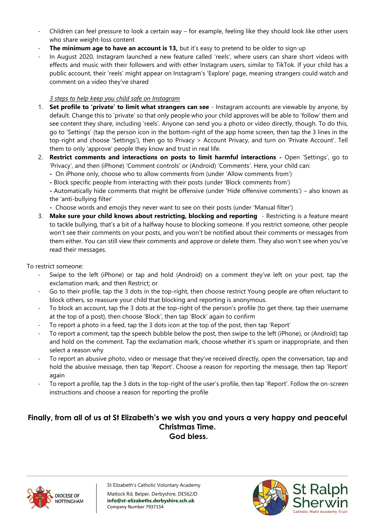- Children can feel pressure to look a certain way for example, feeling like they should look like other users who share weight-loss content
- **The minimum age to have an account is 13,** but it's easy to pretend to be older to sign up
- In August 2020, Instagram launched a new feature called 'reels', where users can share short videos with effects and music with their followers and with other Instagram users, similar to TikTok. If your child has a public account, their 'reels' might appear on Instagram's 'Explore' page, meaning strangers could watch and comment on a video they've shared

### *3 steps to help keep you child safe on Instagram*

- 1. **Set profile to 'private' to limit what strangers can see**  Instagram accounts are viewable by anyone, by default. Change this to 'private' so that only people who your child approves will be able to 'follow' them and see content they share, including 'reels'. Anyone can send you a photo or video directly, though. To do this, go to 'Settings' (tap the person icon in the bottom-right of the app home screen, then tap the 3 lines in the top-right and choose 'Settings'), then go to Privacy > Account Privacy, and turn on 'Private Account'. Tell them to only 'approve' people they know and trust in real life.
- 2. **Restrict comments and interactions on posts to limit harmful interactions -** Open 'Settings', go to 'Privacy', and then (iPhone) 'Comment controls' or (Android) 'Comments'. Here, your child can:
	- **-** On iPhone only, choose who to allow comments from (under 'Allow comments from')
	- **-** Block specific people from interacting with their posts (under 'Block comments from')

**-** Automatically hide comments that might be offensive (under 'Hide offensive comments') – also known as the 'anti-bullying filter'

- **-** Choose words and emojis they never want to see on their posts (under 'Manual filter')
- 3. **Make sure your child knows about restricting, blocking and reporting**  Restricting is a feature meant to tackle bullying, that's a bit of a halfway house to blocking someone. If you restrict someone, other people won't see their comments on your posts, and you won't be notified about their comments or messages from them either. You can still view their comments and approve or delete them. They also won't see when you've read their messages.

To restrict someone:

- Swipe to the left (iPhone) or tap and hold (Android) on a comment they've left on your post, tap the exclamation mark, and then Restrict; or
- Go to their profile, tap the 3 dots in the top-right, then choose restrict Young people are often reluctant to block others, so reassure your child that blocking and reporting is anonymous.
- To block an account, tap the 3 dots at the top-right of the person's profile (to get there, tap their username at the top of a post), then choose 'Block', then tap 'Block' again to confirm
- To report a photo in a feed, tap the 3 dots icon at the top of the post, then tap 'Report'
- To report a comment, tap the speech bubble below the post, then swipe to the left (iPhone), or (Android) tap and hold on the comment. Tap the exclamation mark, choose whether it's spam or inappropriate, and then select a reason why
- To report an abusive photo, video or message that they've received directly, open the conversation, tap and hold the abusive message, then tap 'Report'. Choose a reason for reporting the message, then tap 'Report' again
- To report a profile, tap the 3 dots in the top-right of the user's profile, then tap 'Report'. Follow the on-screen instructions and choose a reason for reporting the profile

## **Finally, from all of us at St Elizabeth's we wish you and yours a very happy and peaceful Christmas Time. God bless.**